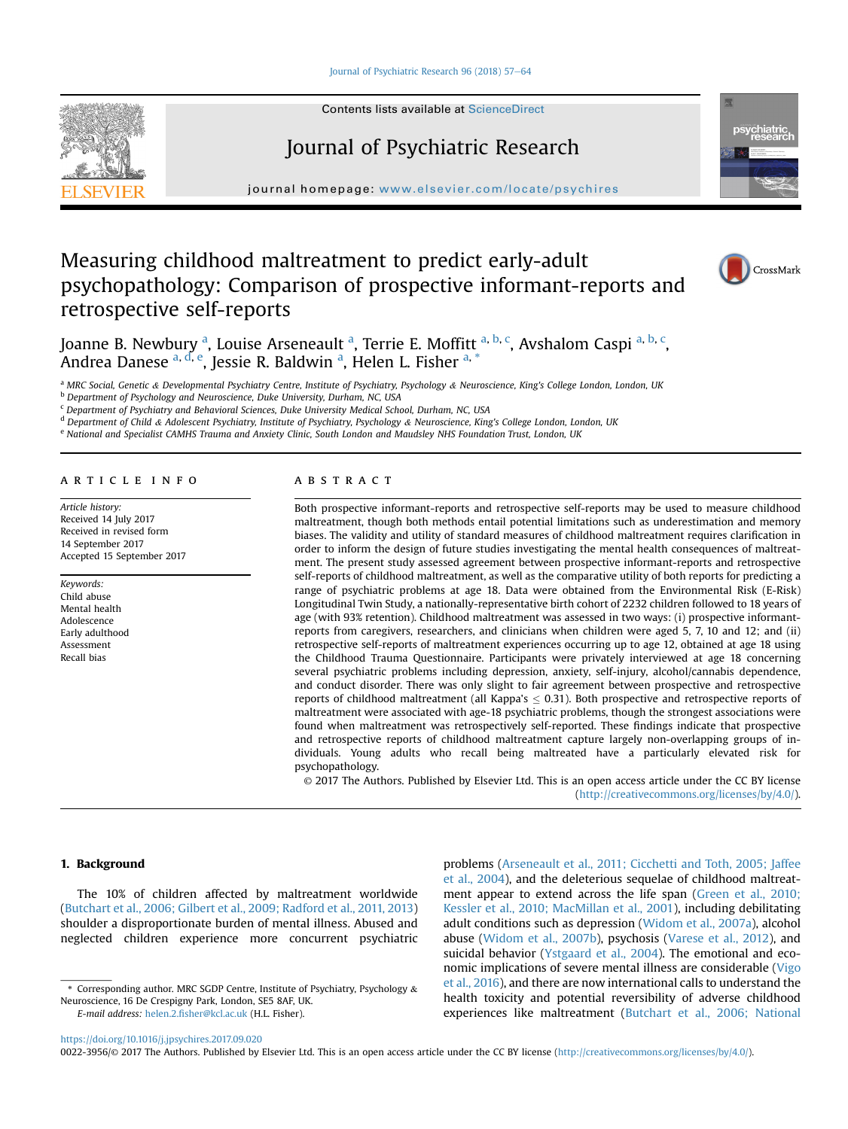#### [Journal of Psychiatric Research 96 \(2018\) 57](https://doi.org/10.1016/j.jpsychires.2017.09.020)-[64](https://doi.org/10.1016/j.jpsychires.2017.09.020)



Contents lists available at ScienceDirect

# Journal of Psychiatric Research

journal home page: [www.elsevier.com/locate/psychires](http://www.elsevier.com/locate/psychires).com/locate/psychires/psychires.com/locate/psychires/psychires/psychires/psychires/psychires/psychires/psychires/psychires/psychires/psychires/psychires/psychires/psychi

# Measuring childhood maltreatment to predict early-adult psychopathology: Comparison of prospective informant-reports and retrospective self-reports





Joanne B. Newbury <sup>a</sup>, Louise Arseneault <sup>a</sup>, Terrie E. Moffitt <sup>a, b, c</sup>, Avshalom Caspi <sup>a, b, c</sup>, Andrea Danese <sup>a, d, e</sup>, Jessie R. Baldwin <sup>a</sup>, Helen L. Fisher <sup>a, \*</sup>

<sup>a</sup> MRC Social, Genetic & Developmental Psychiatry Centre, Institute of Psychiatry, Psychology & Neuroscience, King's College London, London, UK

b Department of Psychology and Neuroscience, Duke University, Durham, NC, USA

<sup>c</sup> Department of Psychiatry and Behavioral Sciences, Duke University Medical School, Durham, NC, USA

<sup>d</sup> Department of Child & Adolescent Psychiatry, Institute of Psychiatry, Psychology & Neuroscience, King's College London, London, UK

<sup>e</sup> National and Specialist CAMHS Trauma and Anxiety Clinic, South London and Maudsley NHS Foundation Trust, London, UK

# article info

Article history: Received 14 July 2017 Received in revised form 14 September 2017 Accepted 15 September 2017

Keywords: Child abuse Mental health Adolescence Early adulthood Assessment Recall bias

# **ABSTRACT**

Both prospective informant-reports and retrospective self-reports may be used to measure childhood maltreatment, though both methods entail potential limitations such as underestimation and memory biases. The validity and utility of standard measures of childhood maltreatment requires clarification in order to inform the design of future studies investigating the mental health consequences of maltreatment. The present study assessed agreement between prospective informant-reports and retrospective self-reports of childhood maltreatment, as well as the comparative utility of both reports for predicting a range of psychiatric problems at age 18. Data were obtained from the Environmental Risk (E-Risk) Longitudinal Twin Study, a nationally-representative birth cohort of 2232 children followed to 18 years of age (with 93% retention). Childhood maltreatment was assessed in two ways: (i) prospective informantreports from caregivers, researchers, and clinicians when children were aged 5, 7, 10 and 12; and (ii) retrospective self-reports of maltreatment experiences occurring up to age 12, obtained at age 18 using the Childhood Trauma Questionnaire. Participants were privately interviewed at age 18 concerning several psychiatric problems including depression, anxiety, self-injury, alcohol/cannabis dependence, and conduct disorder. There was only slight to fair agreement between prospective and retrospective reports of childhood maltreatment (all Kappa's  $\leq$  0.31). Both prospective and retrospective reports of maltreatment were associated with age-18 psychiatric problems, though the strongest associations were found when maltreatment was retrospectively self-reported. These findings indicate that prospective and retrospective reports of childhood maltreatment capture largely non-overlapping groups of individuals. Young adults who recall being maltreated have a particularly elevated risk for psychopathology.

© 2017 The Authors. Published by Elsevier Ltd. This is an open access article under the CC BY license [\(http://creativecommons.org/licenses/by/4.0/](http://creativecommons.org/licenses/by/4.0/)).

# 1. Background

The 10% of children affected by maltreatment worldwide ([Butchart et al., 2006; Gilbert et al., 2009; Radford et al., 2011, 2013\)](#page-6-0) shoulder a disproportionate burden of mental illness. Abused and neglected children experience more concurrent psychiatric problems ([Arseneault et al., 2011; Cicchetti and Toth, 2005; Jaffee](#page-6-0) [et al., 2004\)](#page-6-0), and the deleterious sequelae of childhood maltreatment appear to extend across the life span ([Green et al., 2010;](#page-7-0) [Kessler et al., 2010; MacMillan et al., 2001](#page-7-0)), including debilitating adult conditions such as depression ([Widom et al., 2007a](#page-7-0)), alcohol abuse ([Widom et al., 2007b](#page-7-0)), psychosis [\(Varese et al., 2012](#page-7-0)), and suicidal behavior ([Ystgaard et al., 2004](#page-7-0)). The emotional and economic implications of severe mental illness are considerable ([Vigo](#page-7-0) [et al., 2016\)](#page-7-0), and there are now international calls to understand the health toxicity and potential reversibility of adverse childhood experiences like maltreatment [\(Butchart et al., 2006; National](#page-6-0)

<https://doi.org/10.1016/j.jpsychires.2017.09.020>

0022-3956/© 2017 The Authors. Published by Elsevier Ltd. This is an open access article under the CC BY license [\(http://creativecommons.org/licenses/by/4.0/\)](http://creativecommons.org/licenses/by/4.0/).

<sup>\*</sup> Corresponding author. MRC SGDP Centre, Institute of Psychiatry, Psychology & Neuroscience, 16 De Crespigny Park, London, SE5 8AF, UK.

E-mail address: helen.2.fi[sher@kcl.ac.uk](mailto:helen.2.fisher@kcl.ac.uk) (H.L. Fisher).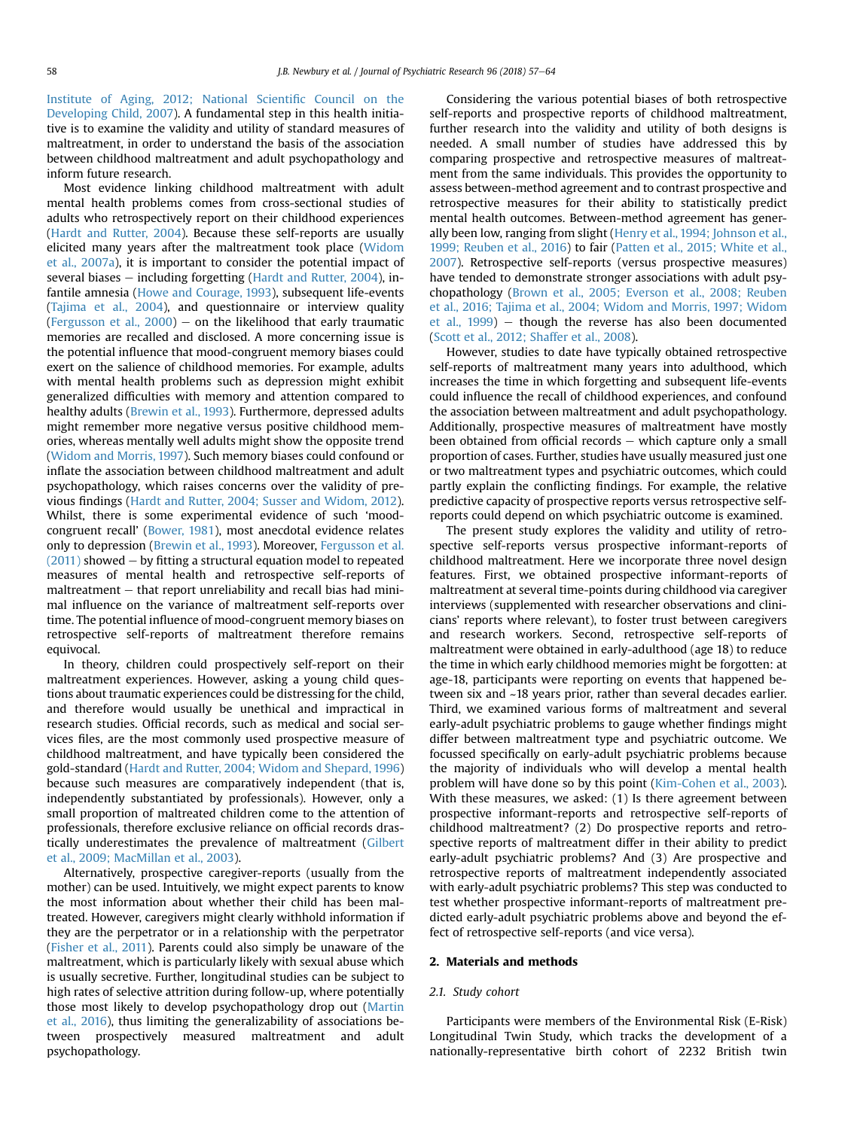[Institute of Aging, 2012; National Scienti](#page-6-0)fic Council on the [Developing Child, 2007\)](#page-6-0). A fundamental step in this health initiative is to examine the validity and utility of standard measures of maltreatment, in order to understand the basis of the association between childhood maltreatment and adult psychopathology and inform future research.

Most evidence linking childhood maltreatment with adult mental health problems comes from cross-sectional studies of adults who retrospectively report on their childhood experiences ([Hardt and Rutter, 2004](#page-7-0)). Because these self-reports are usually elicited many years after the maltreatment took place ([Widom](#page-7-0) [et al., 2007a\)](#page-7-0), it is important to consider the potential impact of several biases  $-$  including forgetting ([Hardt and Rutter, 2004\)](#page-7-0), infantile amnesia [\(Howe and Courage, 1993\)](#page-7-0), subsequent life-events ([Tajima et al., 2004\)](#page-7-0), and questionnaire or interview quality ([Fergusson et al., 2000](#page-7-0)) – on the likelihood that early traumatic memories are recalled and disclosed. A more concerning issue is the potential influence that mood-congruent memory biases could exert on the salience of childhood memories. For example, adults with mental health problems such as depression might exhibit generalized difficulties with memory and attention compared to healthy adults ([Brewin et al., 1993](#page-6-0)). Furthermore, depressed adults might remember more negative versus positive childhood memories, whereas mentally well adults might show the opposite trend ([Widom and Morris, 1997](#page-7-0)). Such memory biases could confound or inflate the association between childhood maltreatment and adult psychopathology, which raises concerns over the validity of previous findings ([Hardt and Rutter, 2004; Susser and Widom, 2012\)](#page-7-0). Whilst, there is some experimental evidence of such 'moodcongruent recall' ([Bower, 1981\)](#page-6-0), most anecdotal evidence relates only to depression [\(Brewin et al., 1993\)](#page-6-0). Moreover, [Fergusson et al.](#page-7-0)  $(2011)$  showed  $-$  by fitting a structural equation model to repeated measures of mental health and retrospective self-reports of  $m$ altreatment  $-$  that report unreliability and recall bias had minimal influence on the variance of maltreatment self-reports over time. The potential influence of mood-congruent memory biases on retrospective self-reports of maltreatment therefore remains equivocal.

In theory, children could prospectively self-report on their maltreatment experiences. However, asking a young child questions about traumatic experiences could be distressing for the child, and therefore would usually be unethical and impractical in research studies. Official records, such as medical and social services files, are the most commonly used prospective measure of childhood maltreatment, and have typically been considered the gold-standard ([Hardt and Rutter, 2004; Widom and Shepard, 1996\)](#page-7-0) because such measures are comparatively independent (that is, independently substantiated by professionals). However, only a small proportion of maltreated children come to the attention of professionals, therefore exclusive reliance on official records drastically underestimates the prevalence of maltreatment ([Gilbert](#page-7-0) [et al., 2009; MacMillan et al., 2003](#page-7-0)).

Alternatively, prospective caregiver-reports (usually from the mother) can be used. Intuitively, we might expect parents to know the most information about whether their child has been maltreated. However, caregivers might clearly withhold information if they are the perpetrator or in a relationship with the perpetrator ([Fisher et al., 2011\)](#page-7-0). Parents could also simply be unaware of the maltreatment, which is particularly likely with sexual abuse which is usually secretive. Further, longitudinal studies can be subject to high rates of selective attrition during follow-up, where potentially those most likely to develop psychopathology drop out [\(Martin](#page-7-0) [et al., 2016](#page-7-0)), thus limiting the generalizability of associations between prospectively measured maltreatment and adult psychopathology.

Considering the various potential biases of both retrospective self-reports and prospective reports of childhood maltreatment, further research into the validity and utility of both designs is needed. A small number of studies have addressed this by comparing prospective and retrospective measures of maltreatment from the same individuals. This provides the opportunity to assess between-method agreement and to contrast prospective and retrospective measures for their ability to statistically predict mental health outcomes. Between-method agreement has gener-ally been low, ranging from slight ([Henry et al., 1994; Johnson et al.,](#page-7-0) [1999; Reuben et al., 2016](#page-7-0)) to fair ([Patten et al., 2015; White et al.,](#page-7-0) [2007\)](#page-7-0). Retrospective self-reports (versus prospective measures) have tended to demonstrate stronger associations with adult psychopathology [\(Brown et al., 2005; Everson et al., 2008; Reuben](#page-6-0) [et al., 2016; Tajima et al., 2004; Widom and Morris, 1997; Widom](#page-6-0) et al.,  $1999$ ) – though the reverse has also been documented ([Scott et al., 2012; Shaffer et al., 2008](#page-7-0)).

However, studies to date have typically obtained retrospective self-reports of maltreatment many years into adulthood, which increases the time in which forgetting and subsequent life-events could influence the recall of childhood experiences, and confound the association between maltreatment and adult psychopathology. Additionally, prospective measures of maltreatment have mostly been obtained from official records  $-$  which capture only a small proportion of cases. Further, studies have usually measured just one or two maltreatment types and psychiatric outcomes, which could partly explain the conflicting findings. For example, the relative predictive capacity of prospective reports versus retrospective selfreports could depend on which psychiatric outcome is examined.

The present study explores the validity and utility of retrospective self-reports versus prospective informant-reports of childhood maltreatment. Here we incorporate three novel design features. First, we obtained prospective informant-reports of maltreatment at several time-points during childhood via caregiver interviews (supplemented with researcher observations and clinicians' reports where relevant), to foster trust between caregivers and research workers. Second, retrospective self-reports of maltreatment were obtained in early-adulthood (age 18) to reduce the time in which early childhood memories might be forgotten: at age-18, participants were reporting on events that happened between six and ~18 years prior, rather than several decades earlier. Third, we examined various forms of maltreatment and several early-adult psychiatric problems to gauge whether findings might differ between maltreatment type and psychiatric outcome. We focussed specifically on early-adult psychiatric problems because the majority of individuals who will develop a mental health problem will have done so by this point [\(Kim-Cohen et al., 2003\)](#page-7-0). With these measures, we asked: (1) Is there agreement between prospective informant-reports and retrospective self-reports of childhood maltreatment? (2) Do prospective reports and retrospective reports of maltreatment differ in their ability to predict early-adult psychiatric problems? And (3) Are prospective and retrospective reports of maltreatment independently associated with early-adult psychiatric problems? This step was conducted to test whether prospective informant-reports of maltreatment predicted early-adult psychiatric problems above and beyond the effect of retrospective self-reports (and vice versa).

# 2. Materials and methods

# 2.1. Study cohort

Participants were members of the Environmental Risk (E-Risk) Longitudinal Twin Study, which tracks the development of a nationally-representative birth cohort of 2232 British twin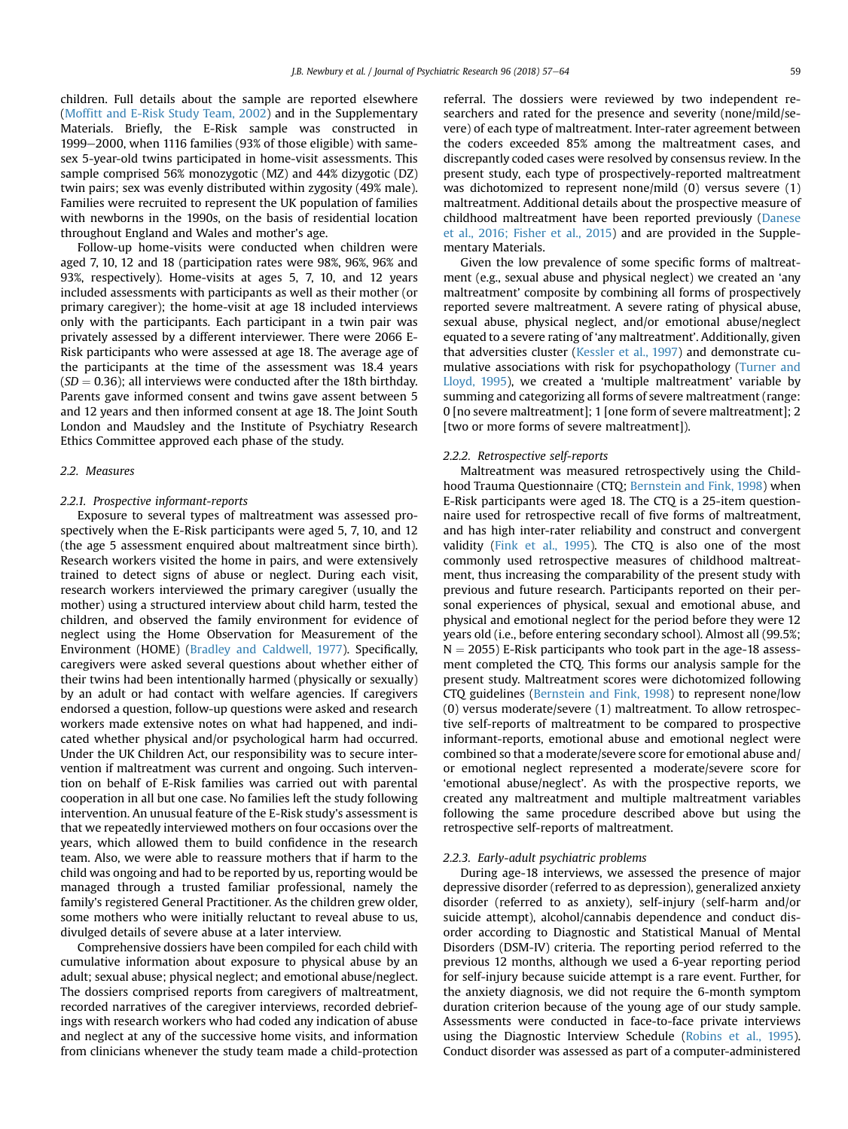children. Full details about the sample are reported elsewhere ([Moffitt and E-Risk Study Team, 2002](#page-7-0)) and in the Supplementary Materials. Briefly, the E-Risk sample was constructed in 1999-2000, when 1116 families (93% of those eligible) with samesex 5-year-old twins participated in home-visit assessments. This sample comprised 56% monozygotic (MZ) and 44% dizygotic (DZ) twin pairs; sex was evenly distributed within zygosity (49% male). Families were recruited to represent the UK population of families with newborns in the 1990s, on the basis of residential location throughout England and Wales and mother's age.

Follow-up home-visits were conducted when children were aged 7, 10, 12 and 18 (participation rates were 98%, 96%, 96% and 93%, respectively). Home-visits at ages 5, 7, 10, and 12 years included assessments with participants as well as their mother (or primary caregiver); the home-visit at age 18 included interviews only with the participants. Each participant in a twin pair was privately assessed by a different interviewer. There were 2066 E-Risk participants who were assessed at age 18. The average age of the participants at the time of the assessment was 18.4 years  $(SD = 0.36)$ ; all interviews were conducted after the 18th birthday. Parents gave informed consent and twins gave assent between 5 and 12 years and then informed consent at age 18. The Joint South London and Maudsley and the Institute of Psychiatry Research Ethics Committee approved each phase of the study.

# 2.2. Measures

# 2.2.1. Prospective informant-reports

Exposure to several types of maltreatment was assessed prospectively when the E-Risk participants were aged 5, 7, 10, and 12 (the age 5 assessment enquired about maltreatment since birth). Research workers visited the home in pairs, and were extensively trained to detect signs of abuse or neglect. During each visit, research workers interviewed the primary caregiver (usually the mother) using a structured interview about child harm, tested the children, and observed the family environment for evidence of neglect using the Home Observation for Measurement of the Environment (HOME) ([Bradley and Caldwell, 1977\)](#page-6-0). Specifically, caregivers were asked several questions about whether either of their twins had been intentionally harmed (physically or sexually) by an adult or had contact with welfare agencies. If caregivers endorsed a question, follow-up questions were asked and research workers made extensive notes on what had happened, and indicated whether physical and/or psychological harm had occurred. Under the UK Children Act, our responsibility was to secure intervention if maltreatment was current and ongoing. Such intervention on behalf of E-Risk families was carried out with parental cooperation in all but one case. No families left the study following intervention. An unusual feature of the E-Risk study's assessment is that we repeatedly interviewed mothers on four occasions over the years, which allowed them to build confidence in the research team. Also, we were able to reassure mothers that if harm to the child was ongoing and had to be reported by us, reporting would be managed through a trusted familiar professional, namely the family's registered General Practitioner. As the children grew older, some mothers who were initially reluctant to reveal abuse to us, divulged details of severe abuse at a later interview.

Comprehensive dossiers have been compiled for each child with cumulative information about exposure to physical abuse by an adult; sexual abuse; physical neglect; and emotional abuse/neglect. The dossiers comprised reports from caregivers of maltreatment, recorded narratives of the caregiver interviews, recorded debriefings with research workers who had coded any indication of abuse and neglect at any of the successive home visits, and information from clinicians whenever the study team made a child-protection referral. The dossiers were reviewed by two independent researchers and rated for the presence and severity (none/mild/severe) of each type of maltreatment. Inter-rater agreement between the coders exceeded 85% among the maltreatment cases, and discrepantly coded cases were resolved by consensus review. In the present study, each type of prospectively-reported maltreatment was dichotomized to represent none/mild (0) versus severe (1) maltreatment. Additional details about the prospective measure of childhood maltreatment have been reported previously [\(Danese](#page-7-0) [et al., 2016; Fisher et al., 2015\)](#page-7-0) and are provided in the Supplementary Materials.

Given the low prevalence of some specific forms of maltreatment (e.g., sexual abuse and physical neglect) we created an 'any maltreatment' composite by combining all forms of prospectively reported severe maltreatment. A severe rating of physical abuse, sexual abuse, physical neglect, and/or emotional abuse/neglect equated to a severe rating of 'any maltreatment'. Additionally, given that adversities cluster ([Kessler et al., 1997](#page-7-0)) and demonstrate cumulative associations with risk for psychopathology ([Turner and](#page-7-0) [Lloyd, 1995](#page-7-0)), we created a 'multiple maltreatment' variable by summing and categorizing all forms of severe maltreatment (range: 0 [no severe maltreatment]; 1 [one form of severe maltreatment]; 2 [two or more forms of severe maltreatment]).

# 2.2.2. Retrospective self-reports

Maltreatment was measured retrospectively using the Childhood Trauma Questionnaire (CTQ; [Bernstein and Fink, 1998\)](#page-6-0) when E-Risk participants were aged 18. The CTQ is a 25-item questionnaire used for retrospective recall of five forms of maltreatment, and has high inter-rater reliability and construct and convergent validity ([Fink et al., 1995\)](#page-7-0). The CTQ is also one of the most commonly used retrospective measures of childhood maltreatment, thus increasing the comparability of the present study with previous and future research. Participants reported on their personal experiences of physical, sexual and emotional abuse, and physical and emotional neglect for the period before they were 12 years old (i.e., before entering secondary school). Almost all (99.5%;  $N = 2055$ ) E-Risk participants who took part in the age-18 assessment completed the CTQ. This forms our analysis sample for the present study. Maltreatment scores were dichotomized following CTQ guidelines [\(Bernstein and Fink, 1998\)](#page-6-0) to represent none/low (0) versus moderate/severe (1) maltreatment. To allow retrospective self-reports of maltreatment to be compared to prospective informant-reports, emotional abuse and emotional neglect were combined so that a moderate/severe score for emotional abuse and/ or emotional neglect represented a moderate/severe score for 'emotional abuse/neglect'. As with the prospective reports, we created any maltreatment and multiple maltreatment variables following the same procedure described above but using the retrospective self-reports of maltreatment.

## 2.2.3. Early-adult psychiatric problems

During age-18 interviews, we assessed the presence of major depressive disorder (referred to as depression), generalized anxiety disorder (referred to as anxiety), self-injury (self-harm and/or suicide attempt), alcohol/cannabis dependence and conduct disorder according to Diagnostic and Statistical Manual of Mental Disorders (DSM-IV) criteria. The reporting period referred to the previous 12 months, although we used a 6-year reporting period for self-injury because suicide attempt is a rare event. Further, for the anxiety diagnosis, we did not require the 6-month symptom duration criterion because of the young age of our study sample. Assessments were conducted in face-to-face private interviews using the Diagnostic Interview Schedule ([Robins et al., 1995\)](#page-7-0). Conduct disorder was assessed as part of a computer-administered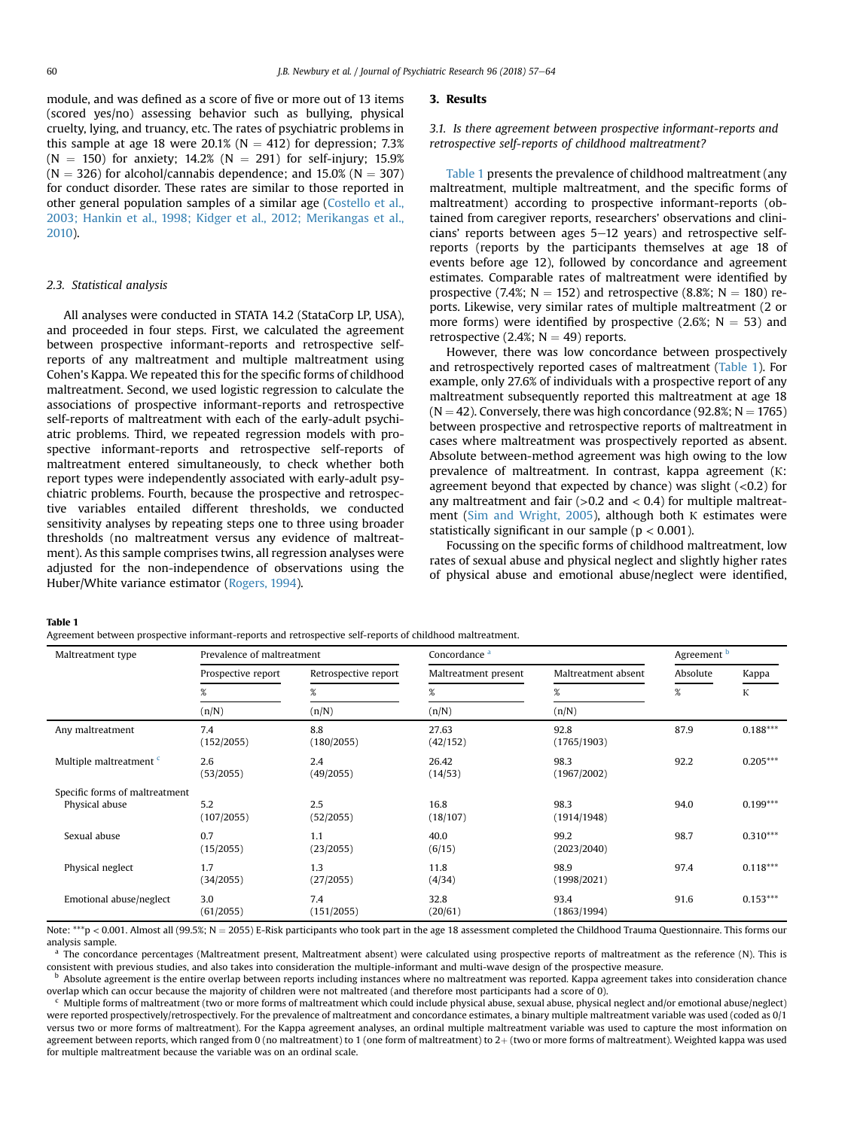module, and was defined as a score of five or more out of 13 items (scored yes/no) assessing behavior such as bullying, physical cruelty, lying, and truancy, etc. The rates of psychiatric problems in this sample at age 18 were  $20.1\%$  (N = 412) for depression; 7.3%  $(N = 150)$  for anxiety; 14.2%  $(N = 291)$  for self-injury; 15.9%  $(N = 326)$  for alcohol/cannabis dependence; and 15.0%  $(N = 307)$ for conduct disorder. These rates are similar to those reported in other general population samples of a similar age [\(Costello et al.,](#page-6-0) [2003; Hankin et al., 1998; Kidger et al., 2012; Merikangas et al.,](#page-6-0) [2010](#page-6-0)).

## 2.3. Statistical analysis

All analyses were conducted in STATA 14.2 (StataCorp LP, USA), and proceeded in four steps. First, we calculated the agreement between prospective informant-reports and retrospective selfreports of any maltreatment and multiple maltreatment using Cohen's Kappa. We repeated this for the specific forms of childhood maltreatment. Second, we used logistic regression to calculate the associations of prospective informant-reports and retrospective self-reports of maltreatment with each of the early-adult psychiatric problems. Third, we repeated regression models with prospective informant-reports and retrospective self-reports of maltreatment entered simultaneously, to check whether both report types were independently associated with early-adult psychiatric problems. Fourth, because the prospective and retrospective variables entailed different thresholds, we conducted sensitivity analyses by repeating steps one to three using broader thresholds (no maltreatment versus any evidence of maltreatment). As this sample comprises twins, all regression analyses were adjusted for the non-independence of observations using the Huber/White variance estimator ([Rogers, 1994](#page-7-0)).

#### 3. Results

3.1. Is there agreement between prospective informant-reports and retrospective self-reports of childhood maltreatment?

Table 1 presents the prevalence of childhood maltreatment (any maltreatment, multiple maltreatment, and the specific forms of maltreatment) according to prospective informant-reports (obtained from caregiver reports, researchers' observations and clinicians' reports between ages  $5-12$  years) and retrospective selfreports (reports by the participants themselves at age 18 of events before age 12), followed by concordance and agreement estimates. Comparable rates of maltreatment were identified by prospective (7.4%;  $N = 152$ ) and retrospective (8.8%;  $N = 180$ ) reports. Likewise, very similar rates of multiple maltreatment (2 or more forms) were identified by prospective (2.6%;  $N = 53$ ) and retrospective (2.4%;  $N = 49$ ) reports.

However, there was low concordance between prospectively and retrospectively reported cases of maltreatment (Table 1). For example, only 27.6% of individuals with a prospective report of any maltreatment subsequently reported this maltreatment at age 18  $(N = 42)$ . Conversely, there was high concordance (92.8%;  $N = 1765$ ) between prospective and retrospective reports of maltreatment in cases where maltreatment was prospectively reported as absent. Absolute between-method agreement was high owing to the low prevalence of maltreatment. In contrast, kappa agreement (К: agreement beyond that expected by chance) was slight  $(<0.2)$  for any maltreatment and fair  $(>0.2$  and  $< 0.4$ ) for multiple maltreat-ment ([Sim and Wright, 2005\)](#page-7-0), although both K estimates were statistically significant in our sample ( $p < 0.001$ ).

Focussing on the specific forms of childhood maltreatment, low rates of sexual abuse and physical neglect and slightly higher rates of physical abuse and emotional abuse/neglect were identified,

Table 1

Agreement between prospective informant-reports and retrospective self-reports of childhood maltreatment.

| Maltreatment type                  | Prevalence of maltreatment |                      | Concordance <sup>a</sup> | Agreement b         |          |            |  |
|------------------------------------|----------------------------|----------------------|--------------------------|---------------------|----------|------------|--|
|                                    | Prospective report         | Retrospective report | Maltreatment present     | Maltreatment absent | Absolute | Kappa<br>К |  |
|                                    | %                          | $\%$                 | $\%$                     | %                   | $\%$     |            |  |
|                                    | (n/N)                      | (n/N)                | (n/N)                    | (n/N)               |          |            |  |
| Any maltreatment                   | 7.4<br>(152/2055)          | 8.8<br>(180/2055)    | 27.63<br>(42/152)        | 92.8<br>(1765/1903) | 87.9     | $0.188***$ |  |
| Multiple maltreatment <sup>c</sup> | 2.6<br>(53/2055)           | 2.4<br>(49/2055)     | 26.42<br>(14/53)         | 98.3<br>(1967/2002) | 92.2     | $0.205***$ |  |
| Specific forms of maltreatment     |                            |                      |                          |                     |          |            |  |
| Physical abuse                     | 5.2<br>(107/2055)          | 2.5<br>(52/2055)     | 16.8<br>(18/107)         | 98.3<br>(1914/1948) | 94.0     | $0.199***$ |  |
| Sexual abuse                       | 0.7<br>(15/2055)           | 1.1<br>(23/2055)     | 40.0<br>(6/15)           | 99.2<br>(2023/2040) | 98.7     | $0.310***$ |  |
| Physical neglect                   | 1.7<br>(34/2055)           | 1.3<br>(27/2055)     | 11.8<br>(4/34)           | 98.9<br>(1998/2021) | 97.4     | $0.118***$ |  |
| Emotional abuse/neglect            | 3.0<br>(61/2055)           | 7.4<br>(151/2055)    | 32.8<br>(20/61)          | 93.4<br>(1863/1994) | 91.6     | $0.153***$ |  |

Note: \*\*\*p < 0.001. Almost all (99.5%; N = 2055) E-Risk participants who took part in the age 18 assessment completed the Childhood Trauma Questionnaire. This forms our analysis sample.

a The concordance percentages (Maltreatment present, Maltreatment absent) were calculated using prospective reports of maltreatment as the reference (N). This is consistent with previous studies, and also takes into consideration the multiple-informant and multi-wave design of the prospective measure.

**b** Absolute agreement is the entire overlap between reports including instances where no maltreatment was reported. Kappa agreement takes into consideration chance overlap which can occur because the majority of children were not maltreated (and therefore most participants had a score of 0).

<sup>c</sup> Multiple forms of maltreatment (two or more forms of maltreatment which could include physical abuse, sexual abuse, physical neglect and/or emotional abuse/neglect) were reported prospectively/retrospectively. For the prevalence of maltreatment and concordance estimates, a binary multiple maltreatment variable was used (coded as 0/1 versus two or more forms of maltreatment). For the Kappa agreement analyses, an ordinal multiple maltreatment variable was used to capture the most information on agreement between reports, which ranged from 0 (no maltreatment) to 1 (one form of maltreatment) to  $2+$  (two or more forms of maltreatment). Weighted kappa was used for multiple maltreatment because the variable was on an ordinal scale.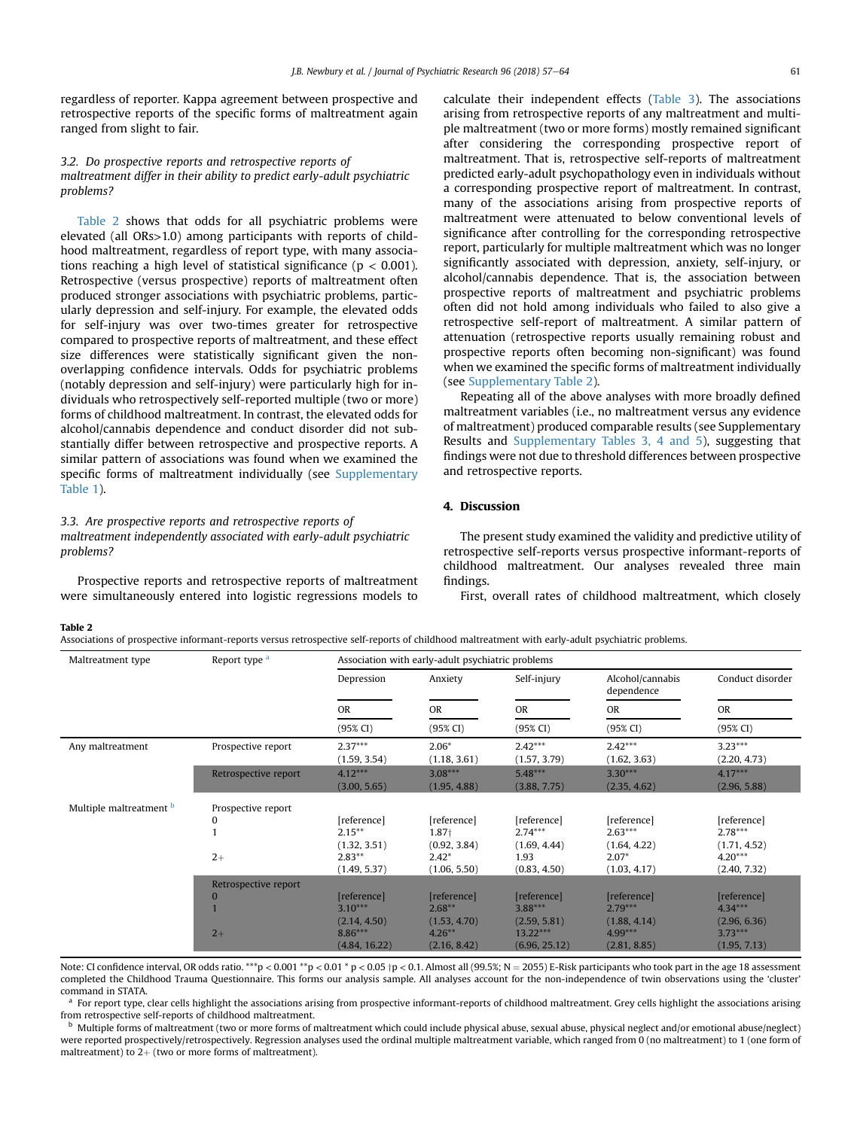regardless of reporter. Kappa agreement between prospective and retrospective reports of the specific forms of maltreatment again ranged from slight to fair.

# 3.2. Do prospective reports and retrospective reports of maltreatment differ in their ability to predict early-adult psychiatric problems?

Table 2 shows that odds for all psychiatric problems were elevated (all ORs>1.0) among participants with reports of childhood maltreatment, regardless of report type, with many associations reaching a high level of statistical significance ( $p < 0.001$ ). Retrospective (versus prospective) reports of maltreatment often produced stronger associations with psychiatric problems, particularly depression and self-injury. For example, the elevated odds for self-injury was over two-times greater for retrospective compared to prospective reports of maltreatment, and these effect size differences were statistically significant given the nonoverlapping confidence intervals. Odds for psychiatric problems (notably depression and self-injury) were particularly high for individuals who retrospectively self-reported multiple (two or more) forms of childhood maltreatment. In contrast, the elevated odds for alcohol/cannabis dependence and conduct disorder did not substantially differ between retrospective and prospective reports. A similar pattern of associations was found when we examined the specific forms of maltreatment individually (see Supplementary Table 1).

# 3.3. Are prospective reports and retrospective reports of maltreatment independently associated with early-adult psychiatric problems?

Prospective reports and retrospective reports of maltreatment were simultaneously entered into logistic regressions models to calculate their independent effects ([Table 3](#page-5-0)). The associations arising from retrospective reports of any maltreatment and multiple maltreatment (two or more forms) mostly remained significant after considering the corresponding prospective report of maltreatment. That is, retrospective self-reports of maltreatment predicted early-adult psychopathology even in individuals without a corresponding prospective report of maltreatment. In contrast, many of the associations arising from prospective reports of maltreatment were attenuated to below conventional levels of significance after controlling for the corresponding retrospective report, particularly for multiple maltreatment which was no longer significantly associated with depression, anxiety, self-injury, or alcohol/cannabis dependence. That is, the association between prospective reports of maltreatment and psychiatric problems often did not hold among individuals who failed to also give a retrospective self-report of maltreatment. A similar pattern of attenuation (retrospective reports usually remaining robust and prospective reports often becoming non-significant) was found when we examined the specific forms of maltreatment individually (see Supplementary Table 2).

Repeating all of the above analyses with more broadly defined maltreatment variables (i.e., no maltreatment versus any evidence of maltreatment) produced comparable results (see Supplementary Results and Supplementary Tables 3, 4 and 5), suggesting that findings were not due to threshold differences between prospective and retrospective reports.

# 4. Discussion

The present study examined the validity and predictive utility of retrospective self-reports versus prospective informant-reports of childhood maltreatment. Our analyses revealed three main findings.

First, overall rates of childhood maltreatment, which closely

#### Table 2

| Associations of prospective informant-reports versus retrospective self-reports of childhood maltreatment with early-adult psychiatric problems |  |  |  |  |  |  |  |  |  |  |
|-------------------------------------------------------------------------------------------------------------------------------------------------|--|--|--|--|--|--|--|--|--|--|
|                                                                                                                                                 |  |  |  |  |  |  |  |  |  |  |

| Maltreatment type       | Report type <sup>a</sup>                 | Association with early-adult psychiatric problems                      |                                                                      |                                                                         |                                                                       |                                                                       |  |  |  |  |
|-------------------------|------------------------------------------|------------------------------------------------------------------------|----------------------------------------------------------------------|-------------------------------------------------------------------------|-----------------------------------------------------------------------|-----------------------------------------------------------------------|--|--|--|--|
|                         |                                          | Depression                                                             | Anxiety                                                              | Self-injury                                                             | Alcohol/cannabis<br>dependence                                        | Conduct disorder                                                      |  |  |  |  |
|                         |                                          | <b>OR</b>                                                              | <b>OR</b>                                                            | <b>OR</b>                                                               | <b>OR</b>                                                             | OR                                                                    |  |  |  |  |
|                         |                                          | (95% CI)                                                               | $(95\% \text{ CI})$                                                  | (95% CI)                                                                | (95% CI)                                                              | (95% CI)                                                              |  |  |  |  |
| Any maltreatment        | Prospective report                       | $2.37***$<br>(1.59, 3.54)                                              | $2.06*$<br>(1.18, 3.61)                                              | $2.42***$<br>(1.57, 3.79)                                               | $2.42***$<br>(1.62, 3.63)                                             | $3.23***$<br>(2.20, 4.73)                                             |  |  |  |  |
|                         | Retrospective report                     | $4.12***$<br>(3.00, 5.65)                                              | $3.08***$<br>(1.95, 4.88)                                            | $5.48***$<br>(3.88, 7.75)                                               | $3.30***$<br>(2.35, 4.62)                                             | $4.17***$<br>(2.96, 5.88)                                             |  |  |  |  |
| Multiple maltreatment b | Prospective report                       |                                                                        |                                                                      |                                                                         |                                                                       |                                                                       |  |  |  |  |
|                         | 0                                        | [reference]<br>$2.15***$<br>(1.32, 3.51)                               | [reference]<br>1.87+<br>(0.92, 3.84)                                 | [reference]<br>$2.74***$<br>(1.69, 4.44)                                | [reference]<br>$2.63***$<br>(1.64, 4.22)                              | [reference]<br>$2.78***$<br>(1.71, 4.52)                              |  |  |  |  |
|                         | $2+$                                     | $2.83***$<br>(1.49, 5.37)                                              | $2.42*$<br>(1.06, 5.50)                                              | 1.93<br>(0.83, 4.50)                                                    | $2.07*$<br>(1.03, 4.17)                                               | $4.20***$<br>(2.40, 7.32)                                             |  |  |  |  |
|                         | Retrospective report<br>$\bf{0}$<br>$2+$ | [reference]<br>$3.10***$<br>(2.14, 4.50)<br>$8.86***$<br>(4.84, 16.22) | [reference]<br>$2.68**$<br>(1.53, 4.70)<br>$4.26***$<br>(2.16, 8.42) | [reference]<br>$3.88***$<br>(2.59, 5.81)<br>$13.22***$<br>(6.96, 25.12) | [reference]<br>$2.79***$<br>(1.88, 4.14)<br>$4.99***$<br>(2.81, 8.85) | [reference]<br>$4.34***$<br>(2.96, 6.36)<br>$3.73***$<br>(1.95, 7.13) |  |  |  |  |

Note: CI confidence interval, OR odds ratio. \*\*\*p < 0.001 \*\*p < 0.01 \* p < 0.05  $\gamma$  p < 0.1. Almost all (99.5%; N = 2055) E-Risk participants who took part in the age 18 assessment completed the Childhood Trauma Questionnaire. This forms our analysis sample. All analyses account for the non-independence of twin observations using the 'cluster' command in STATA.

For report type, clear cells highlight the associations arising from prospective informant-reports of childhood maltreatment. Grey cells highlight the associations arising from retrospective self-reports of childhood maltreatment.

<sup>b</sup> Multiple forms of maltreatment (two or more forms of maltreatment which could include physical abuse, sexual abuse, physical neglect and/or emotional abuse/neglect) were reported prospectively/retrospectively. Regression analyses used the ordinal multiple maltreatment variable, which ranged from 0 (no maltreatment) to 1 (one form of maltreatment) to  $2+$  (two or more forms of maltreatment).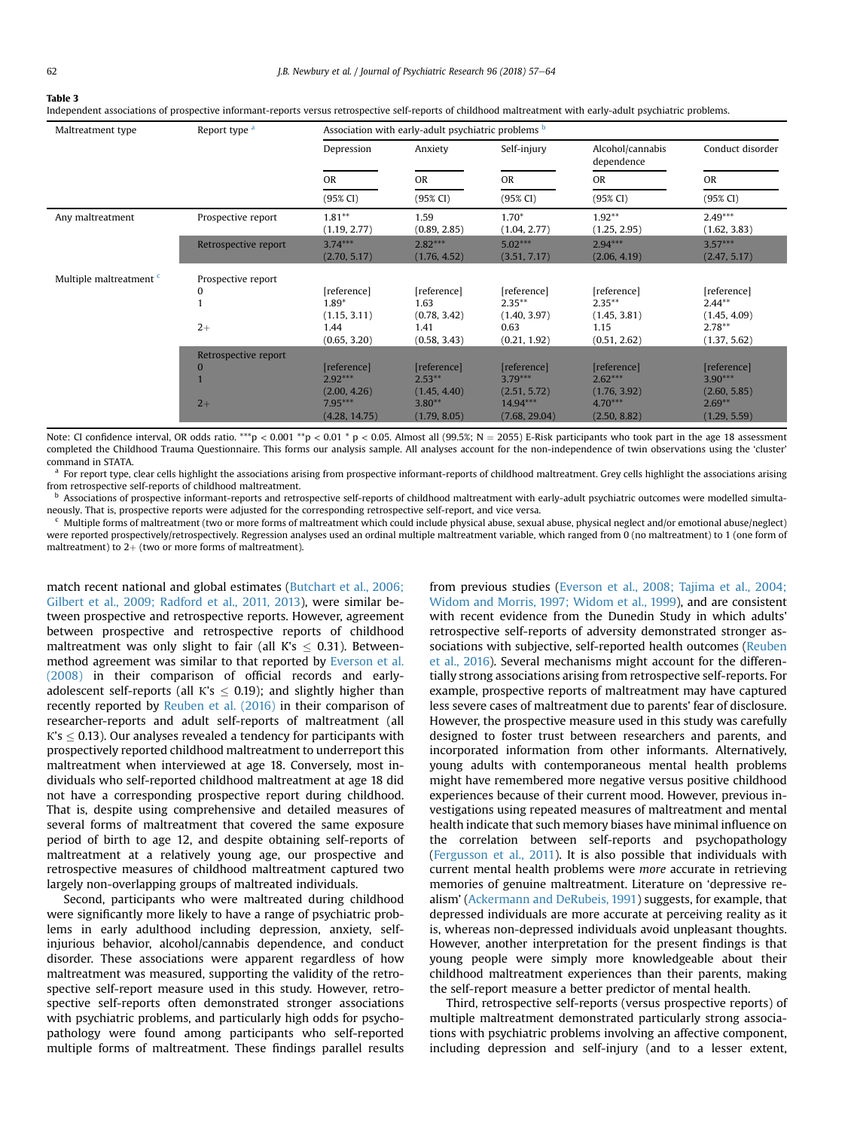#### <span id="page-5-0"></span>Table 3

Independent associations of prospective informant-reports versus retrospective self-reports of childhood maltreatment with early-adult psychiatric problems.

| Maltreatment type                  | Report type <sup>a</sup>                                            | Association with early-adult psychiatric problems <b>b</b>                                                 |                                                                                                         |                                                                                                              |                                                                                                              |                                                                                                                  |  |  |  |  |
|------------------------------------|---------------------------------------------------------------------|------------------------------------------------------------------------------------------------------------|---------------------------------------------------------------------------------------------------------|--------------------------------------------------------------------------------------------------------------|--------------------------------------------------------------------------------------------------------------|------------------------------------------------------------------------------------------------------------------|--|--|--|--|
|                                    |                                                                     | Depression                                                                                                 | Anxiety                                                                                                 | Self-injury                                                                                                  | Alcohol/cannabis<br>dependence                                                                               | Conduct disorder<br><b>OR</b>                                                                                    |  |  |  |  |
|                                    |                                                                     | <b>OR</b>                                                                                                  | OR                                                                                                      | <b>OR</b>                                                                                                    | OR                                                                                                           |                                                                                                                  |  |  |  |  |
|                                    |                                                                     | (95% CI)                                                                                                   | (95% CI)                                                                                                | (95% CI)                                                                                                     | (95% CI)                                                                                                     | $(95\% CI)$                                                                                                      |  |  |  |  |
| Any maltreatment                   | Prospective report                                                  | $1.81***$<br>(1.19, 2.77)                                                                                  | 1.59<br>(0.89, 2.85)                                                                                    | $1.70*$<br>(1.04, 2.77)                                                                                      | $1.92**$<br>(1.25, 2.95)                                                                                     | $2.49***$<br>(1.62, 3.83)                                                                                        |  |  |  |  |
|                                    | Retrospective report                                                | $3.74***$<br>(2.70, 5.17)                                                                                  | $2.82***$<br>(1.76, 4.52)                                                                               | $5.02***$<br>(3.51, 7.17)                                                                                    | $2.94***$<br>(2.06, 4.19)                                                                                    | $3.57***$<br>(2.47, 5.17)                                                                                        |  |  |  |  |
| Multiple maltreatment <sup>c</sup> | Prospective report<br>0<br>$2+$<br>Retrospective report<br>$\bf{0}$ | [reference]<br>$1.89*$<br>(1.15, 3.11)<br>1.44<br>(0.65, 3.20)<br>[reference]<br>$2.92***$<br>(2.00, 4.26) | [reference]<br>1.63<br>(0.78, 3.42)<br>1.41<br>(0.58, 3.43)<br>[reference]<br>$2.53***$<br>(1.45, 4.40) | [reference]<br>$2.35***$<br>(1.40, 3.97)<br>0.63<br>(0.21, 1.92)<br>[reference]<br>$3.79***$<br>(2.51, 5.72) | [reference]<br>$2.35***$<br>(1.45, 3.81)<br>1.15<br>(0.51, 2.62)<br>[reference]<br>$2.62***$<br>(1.76, 3.92) | [reference]<br>$2.44***$<br>(1.45, 4.09)<br>$2.78**$<br>(1.37, 5.62)<br>[reference]<br>$3.90***$<br>(2.60, 5.85) |  |  |  |  |
|                                    | $2+$                                                                | $7.95***$<br>(4.28, 14.75)                                                                                 | $3.80**$<br>(1.79, 8.05)                                                                                | $14.94***$<br>(7.68, 29.04)                                                                                  | $4.70***$<br>(2.50, 8.82)                                                                                    | $2.69**$<br>(1.29, 5.59)                                                                                         |  |  |  |  |

Note: CI confidence interval, OR odds ratio, \*\*\*p < 0.001 \*\*p < 0.01 \* p < 0.05. Almost all (99.5%; N = 2055) E-Risk participants who took part in the age 18 assessment completed the Childhood Trauma Questionnaire. This forms our analysis sample. All analyses account for the non-independence of twin observations using the 'cluster' command in STATA.

For report type, clear cells highlight the associations arising from prospective informant-reports of childhood maltreatment. Grey cells highlight the associations arising from retrospective self-reports of childhood maltreatment.

 $^{\rm b}$  Associations of prospective informant-reports and retrospective self-reports of childhood maltreatment with early-adult psychiatric outcomes were modelled simultaneously. That is, prospective reports were adjusted for the corresponding retrospective self-report, and vice versa.

 $c$  Multiple forms of maltreatment (two or more forms of maltreatment which could include physical abuse, sexual abuse, physical neglect and/or emotional abuse/neglect) were reported prospectively/retrospectively. Regression analyses used an ordinal multiple maltreatment variable, which ranged from 0 (no maltreatment) to 1 (one form of maltreatment) to  $2+$  (two or more forms of maltreatment).

match recent national and global estimates ([Butchart et al., 2006;](#page-6-0) [Gilbert et al., 2009; Radford et al., 2011, 2013](#page-6-0)), were similar between prospective and retrospective reports. However, agreement between prospective and retrospective reports of childhood maltreatment was only slight to fair (all K's  $\leq$  0.31). Betweenmethod agreement was similar to that reported by [Everson et al.](#page-7-0) [\(2008\)](#page-7-0) in their comparison of official records and earlyadolescent self-reports (all K's  $\leq$  0.19); and slightly higher than recently reported by [Reuben et al. \(2016\)](#page-7-0) in their comparison of researcher-reports and adult self-reports of maltreatment (all  $K's \leq 0.13$ ). Our analyses revealed a tendency for participants with prospectively reported childhood maltreatment to underreport this maltreatment when interviewed at age 18. Conversely, most individuals who self-reported childhood maltreatment at age 18 did not have a corresponding prospective report during childhood. That is, despite using comprehensive and detailed measures of several forms of maltreatment that covered the same exposure period of birth to age 12, and despite obtaining self-reports of maltreatment at a relatively young age, our prospective and retrospective measures of childhood maltreatment captured two largely non-overlapping groups of maltreated individuals.

Second, participants who were maltreated during childhood were significantly more likely to have a range of psychiatric problems in early adulthood including depression, anxiety, selfinjurious behavior, alcohol/cannabis dependence, and conduct disorder. These associations were apparent regardless of how maltreatment was measured, supporting the validity of the retrospective self-report measure used in this study. However, retrospective self-reports often demonstrated stronger associations with psychiatric problems, and particularly high odds for psychopathology were found among participants who self-reported multiple forms of maltreatment. These findings parallel results from previous studies [\(Everson et al., 2008; Tajima et al., 2004;](#page-7-0) [Widom and Morris, 1997; Widom et al., 1999](#page-7-0)), and are consistent with recent evidence from the Dunedin Study in which adults' retrospective self-reports of adversity demonstrated stronger associations with subjective, self-reported health outcomes ([Reuben](#page-7-0) [et al., 2016\)](#page-7-0). Several mechanisms might account for the differentially strong associations arising from retrospective self-reports. For example, prospective reports of maltreatment may have captured less severe cases of maltreatment due to parents' fear of disclosure. However, the prospective measure used in this study was carefully designed to foster trust between researchers and parents, and incorporated information from other informants. Alternatively, young adults with contemporaneous mental health problems might have remembered more negative versus positive childhood experiences because of their current mood. However, previous investigations using repeated measures of maltreatment and mental health indicate that such memory biases have minimal influence on the correlation between self-reports and psychopathology ([Fergusson et al., 2011\)](#page-7-0). It is also possible that individuals with current mental health problems were more accurate in retrieving memories of genuine maltreatment. Literature on 'depressive realism' [\(Ackermann and DeRubeis, 1991\)](#page-6-0) suggests, for example, that depressed individuals are more accurate at perceiving reality as it is, whereas non-depressed individuals avoid unpleasant thoughts. However, another interpretation for the present findings is that young people were simply more knowledgeable about their childhood maltreatment experiences than their parents, making the self-report measure a better predictor of mental health.

Third, retrospective self-reports (versus prospective reports) of multiple maltreatment demonstrated particularly strong associations with psychiatric problems involving an affective component, including depression and self-injury (and to a lesser extent,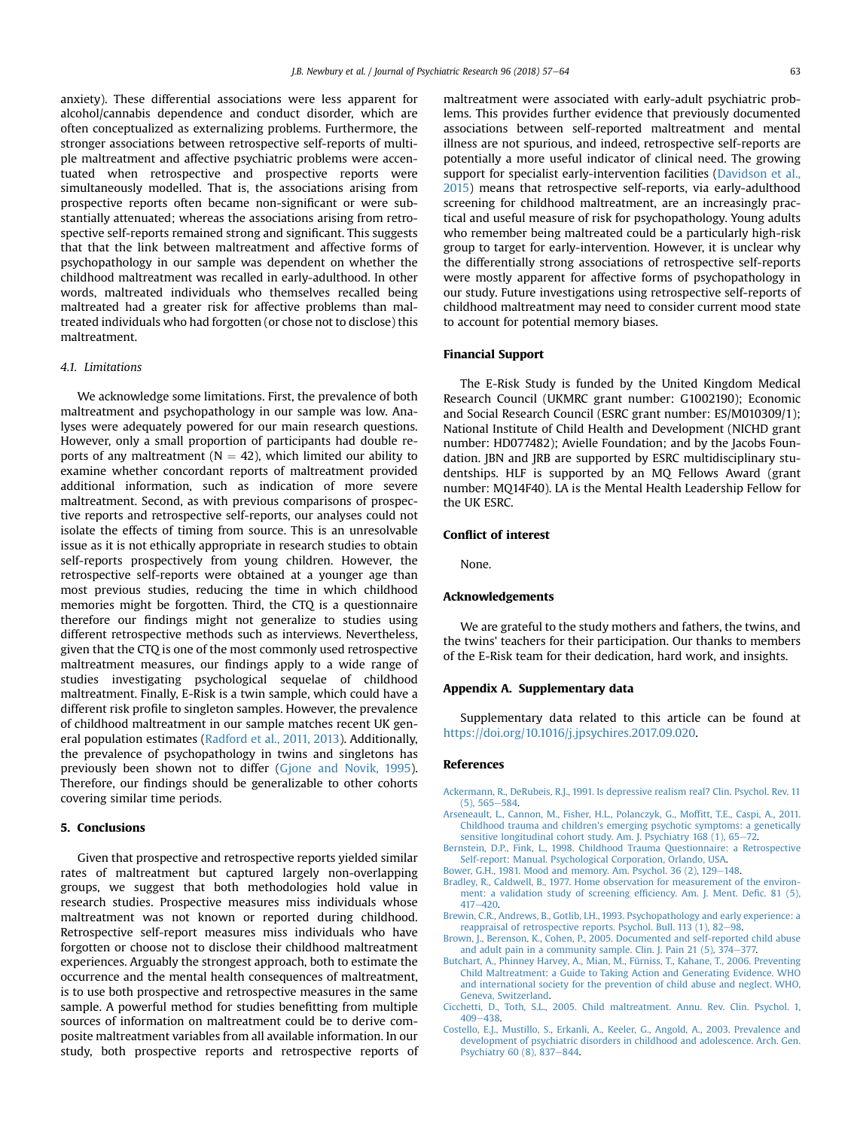<span id="page-6-0"></span>anxiety). These differential associations were less apparent for alcohol/cannabis dependence and conduct disorder, which are often conceptualized as externalizing problems. Furthermore, the stronger associations between retrospective self-reports of multiple maltreatment and affective psychiatric problems were accentuated when retrospective and prospective reports were simultaneously modelled. That is, the associations arising from prospective reports often became non-significant or were substantially attenuated; whereas the associations arising from retrospective self-reports remained strong and significant. This suggests that that the link between maltreatment and affective forms of psychopathology in our sample was dependent on whether the childhood maltreatment was recalled in early-adulthood. In other words, maltreated individuals who themselves recalled being maltreated had a greater risk for affective problems than maltreated individuals who had forgotten (or chose not to disclose) this maltreatment.

# 4.1 Limitations

We acknowledge some limitations. First, the prevalence of both maltreatment and psychopathology in our sample was low. Analyses were adequately powered for our main research questions. However, only a small proportion of participants had double reports of any maltreatment ( $N = 42$ ), which limited our ability to examine whether concordant reports of maltreatment provided additional information, such as indication of more severe maltreatment. Second, as with previous comparisons of prospective reports and retrospective self-reports, our analyses could not isolate the effects of timing from source. This is an unresolvable issue as it is not ethically appropriate in research studies to obtain self-reports prospectively from young children. However, the retrospective self-reports were obtained at a younger age than most previous studies, reducing the time in which childhood memories might be forgotten. Third, the CTQ is a questionnaire therefore our findings might not generalize to studies using different retrospective methods such as interviews. Nevertheless, given that the CTQ is one of the most commonly used retrospective maltreatment measures, our findings apply to a wide range of studies investigating psychological sequelae of childhood maltreatment. Finally, E-Risk is a twin sample, which could have a different risk profile to singleton samples. However, the prevalence of childhood maltreatment in our sample matches recent UK general population estimates [\(Radford et al., 2011, 2013\)](#page-7-0). Additionally, the prevalence of psychopathology in twins and singletons has previously been shown not to differ ([Gjone and Novik, 1995\)](#page-7-0). Therefore, our findings should be generalizable to other cohorts covering similar time periods.

# 5. Conclusions

Given that prospective and retrospective reports yielded similar rates of maltreatment but captured largely non-overlapping groups, we suggest that both methodologies hold value in research studies. Prospective measures miss individuals whose maltreatment was not known or reported during childhood. Retrospective self-report measures miss individuals who have forgotten or choose not to disclose their childhood maltreatment experiences. Arguably the strongest approach, both to estimate the occurrence and the mental health consequences of maltreatment, is to use both prospective and retrospective measures in the same sample. A powerful method for studies benefitting from multiple sources of information on maltreatment could be to derive composite maltreatment variables from all available information. In our study, both prospective reports and retrospective reports of maltreatment were associated with early-adult psychiatric problems. This provides further evidence that previously documented associations between self-reported maltreatment and mental illness are not spurious, and indeed, retrospective self-reports are potentially a more useful indicator of clinical need. The growing support for specialist early-intervention facilities [\(Davidson et al.,](#page-7-0) [2015\)](#page-7-0) means that retrospective self-reports, via early-adulthood screening for childhood maltreatment, are an increasingly practical and useful measure of risk for psychopathology. Young adults who remember being maltreated could be a particularly high-risk group to target for early-intervention. However, it is unclear why the differentially strong associations of retrospective self-reports were mostly apparent for affective forms of psychopathology in our study. Future investigations using retrospective self-reports of childhood maltreatment may need to consider current mood state to account for potential memory biases.

# Financial Support

The E-Risk Study is funded by the United Kingdom Medical Research Council (UKMRC grant number: G1002190); Economic and Social Research Council (ESRC grant number: ES/M010309/1); National Institute of Child Health and Development (NICHD grant number: HD077482); Avielle Foundation; and by the Jacobs Foundation. JBN and JRB are supported by ESRC multidisciplinary studentships. HLF is supported by an MQ Fellows Award (grant number: MQ14F40). LA is the Mental Health Leadership Fellow for the UK ESRC.

# Conflict of interest

None.

### Acknowledgements

We are grateful to the study mothers and fathers, the twins, and the twins' teachers for their participation. Our thanks to members of the E-Risk team for their dedication, hard work, and insights.

# Appendix A. Supplementary data

Supplementary data related to this article can be found at [https://doi.org/10.1016/j.jpsychires.2017.09.020.](https://doi.org/10.1016/j.jpsychires.2017.09.020)

## References

- [Ackermann, R., DeRubeis, R.J., 1991. Is depressive realism real? Clin. Psychol. Rev. 11](http://refhub.elsevier.com/S0022-3956(17)30797-5/sref1)  $(5)$ , 565-[584.](http://refhub.elsevier.com/S0022-3956(17)30797-5/sref1)
- [Arseneault, L., Cannon, M., Fisher, H.L., Polanczyk, G., Moffitt, T.E., Caspi, A., 2011.](http://refhub.elsevier.com/S0022-3956(17)30797-5/sref3) [Childhood trauma and children's emerging psychotic symptoms: a genetically](http://refhub.elsevier.com/S0022-3956(17)30797-5/sref3) sensitive longitudinal cohort study. Am. I. Psychiatry  $168(1)$ ,  $65-72$ .
- [Bernstein, D.P., Fink, L., 1998. Childhood Trauma Questionnaire: a Retrospective](http://refhub.elsevier.com/S0022-3956(17)30797-5/sref4) [Self-report: Manual. Psychological Corporation, Orlando, USA](http://refhub.elsevier.com/S0022-3956(17)30797-5/sref4).
- [Bower, G.H., 1981. Mood and memory. Am. Psychol. 36 \(2\), 129](http://refhub.elsevier.com/S0022-3956(17)30797-5/sref5)-[148.](http://refhub.elsevier.com/S0022-3956(17)30797-5/sref5)
- [Bradley, R., Caldwell, B., 1977. Home observation for measurement of the environ](http://refhub.elsevier.com/S0022-3956(17)30797-5/sref6)[ment: a validation study of screening ef](http://refhub.elsevier.com/S0022-3956(17)30797-5/sref6)ficiency. Am. J. Ment. Defic. 81 (5),  $417 - 420$  $417 - 420$
- [Brewin, C.R., Andrews, B., Gotlib, I.H., 1993. Psychopathology and early experience: a](http://refhub.elsevier.com/S0022-3956(17)30797-5/sref7) [reappraisal of retrospective reports. Psychol. Bull. 113 \(1\), 82](http://refhub.elsevier.com/S0022-3956(17)30797-5/sref7)-[98.](http://refhub.elsevier.com/S0022-3956(17)30797-5/sref7)
- [Brown, J., Berenson, K., Cohen, P., 2005. Documented and self-reported child abuse](http://refhub.elsevier.com/S0022-3956(17)30797-5/sref8) [and adult pain in a community sample. Clin. J. Pain 21 \(5\), 374](http://refhub.elsevier.com/S0022-3956(17)30797-5/sref8)-[377.](http://refhub.elsevier.com/S0022-3956(17)30797-5/sref8)
- [Butchart, A., Phinney Harvey, A., Mian, M., Fürniss, T., Kahane, T., 2006. Preventing](http://refhub.elsevier.com/S0022-3956(17)30797-5/sref9) [Child Maltreatment: a Guide to Taking Action and Generating Evidence. WHO](http://refhub.elsevier.com/S0022-3956(17)30797-5/sref9) [and international society for the prevention of child abuse and neglect. WHO,](http://refhub.elsevier.com/S0022-3956(17)30797-5/sref9) [Geneva, Switzerland.](http://refhub.elsevier.com/S0022-3956(17)30797-5/sref9)
- [Cicchetti, D., Toth, S.L., 2005. Child maltreatment. Annu. Rev. Clin. Psychol. 1,](http://refhub.elsevier.com/S0022-3956(17)30797-5/sref10)  $409 - 438$  $409 - 438$  $409 - 438$
- [Costello, E.J., Mustillo, S., Erkanli, A., Keeler, G., Angold, A., 2003. Prevalence and](http://refhub.elsevier.com/S0022-3956(17)30797-5/sref11) [development of psychiatric disorders in childhood and adolescence. Arch. Gen.](http://refhub.elsevier.com/S0022-3956(17)30797-5/sref11) [Psychiatry 60 \(8\), 837](http://refhub.elsevier.com/S0022-3956(17)30797-5/sref11)-[844.](http://refhub.elsevier.com/S0022-3956(17)30797-5/sref11)